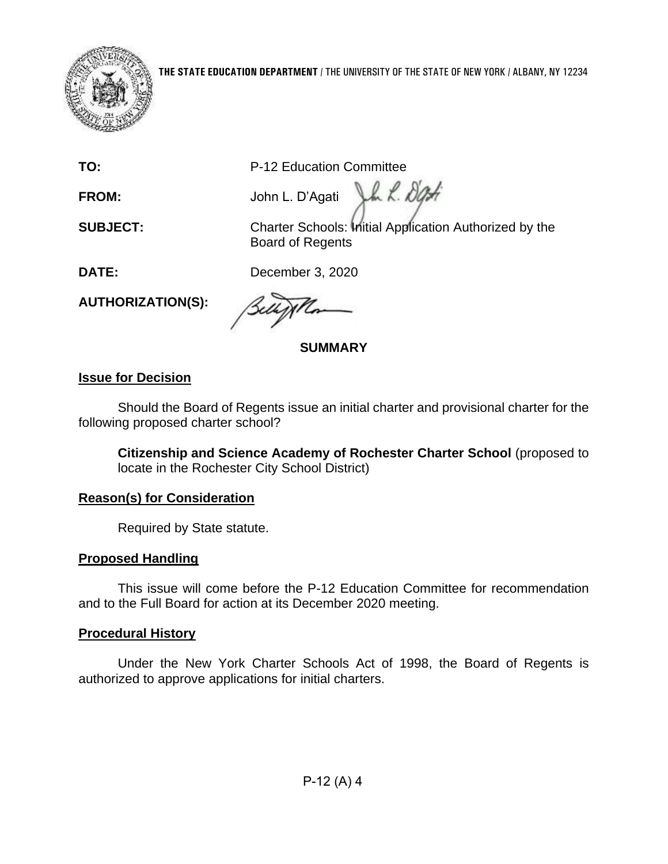

**TO:** P-12 Education Committee

Jh L. Dati **FROM:** John L. D'Agati

**SUBJECT:** Charter Schools: Initial Application Authorized by the Board of Regents

**DATE:** December 3, 2020

**AUTHORIZATION(S):** 

**SUMMARY** 

# **Issue for Decision**

 Should the Board of Regents issue an initial charter and provisional charter for the following proposed charter school?

 **Citizenship and Science Academy of Rochester Charter School** (proposed to locate in the Rochester City School District)

# **Reason(s) for Consideration**

Required by State statute.

# **Proposed Handling**

This issue will come before the P-12 Education Committee for recommendation and to the Full Board for action at its December 2020 meeting.

# **Procedural History**

 Under the New York Charter Schools Act of 1998, the Board of Regents is authorized to approve applications for initial charters.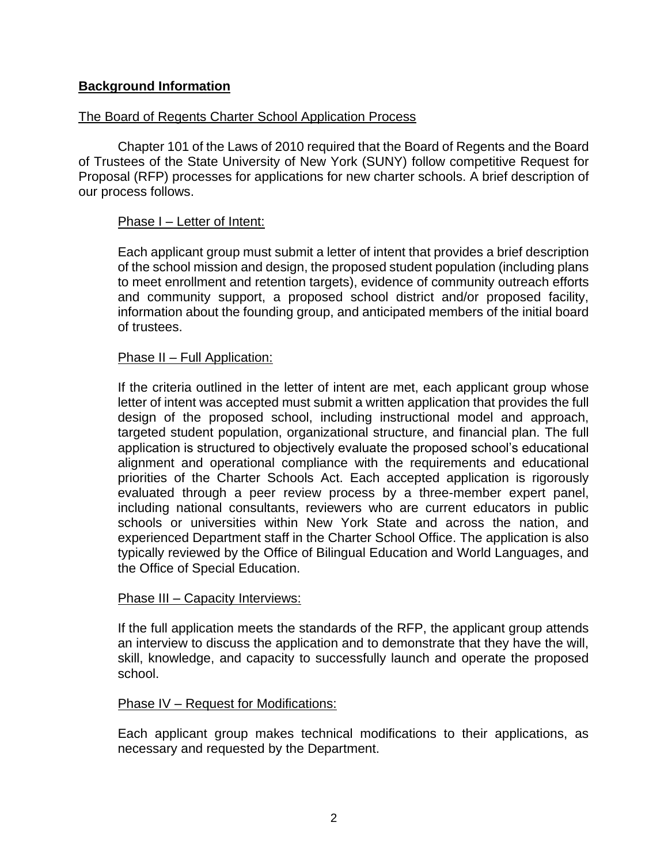#### **Background Information**

#### The Board of Regents Charter School Application Process

Chapter 101 of the Laws of 2010 required that the Board of Regents and the Board of Trustees of the State University of New York (SUNY) follow competitive Request for Proposal (RFP) processes for applications for new charter schools. A brief description of our process follows.

#### Phase I – Letter of Intent:

 Each applicant group must submit a letter of intent that provides a brief description and community support, a proposed school district and/or proposed facility, of the school mission and design, the proposed student population (including plans to meet enrollment and retention targets), evidence of community outreach efforts information about the founding group, and anticipated members of the initial board of trustees.

#### Phase II – Full Application:

 letter of intent was accepted must submit a written application that provides the full design of the proposed school, including instructional model and approach, including national consultants, reviewers who are current educators in public experienced Department staff in the Charter School Office. The application is also If the criteria outlined in the letter of intent are met, each applicant group whose targeted student population, organizational structure, and financial plan. The full application is structured to objectively evaluate the proposed school's educational alignment and operational compliance with the requirements and educational priorities of the Charter Schools Act. Each accepted application is rigorously evaluated through a peer review process by a three-member expert panel, schools or universities within New York State and across the nation, and typically reviewed by the Office of Bilingual Education and World Languages, and the Office of Special Education.

#### Phase III - Capacity Interviews:

If the full application meets the standards of the RFP, the applicant group attends an interview to discuss the application and to demonstrate that they have the will, skill, knowledge, and capacity to successfully launch and operate the proposed school.

#### Phase IV – Request for Modifications:

Each applicant group makes technical modifications to their applications, as necessary and requested by the Department.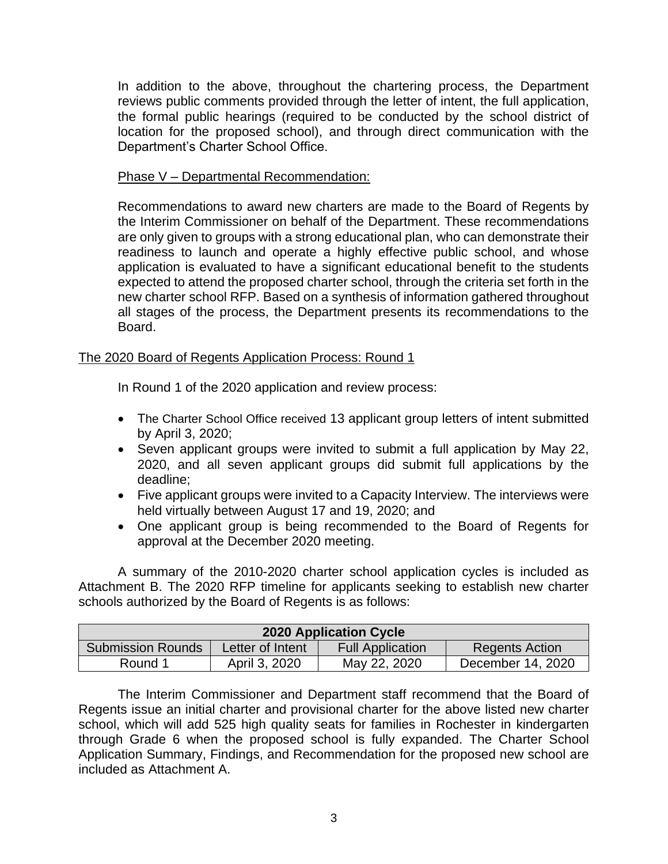reviews public comments provided through the letter of intent, the full application, location for the proposed school), and through direct communication with the In addition to the above, throughout the chartering process, the Department the formal public hearings (required to be conducted by the school district of Department's Charter School Office.

#### Phase V – Departmental Recommendation:

 Recommendations to award new charters are made to the Board of Regents by readiness to launch and operate a highly effective public school, and whose application is evaluated to have a significant educational benefit to the students expected to attend the proposed charter school, through the criteria set forth in the new charter school RFP. Based on a synthesis of information gathered throughout the Interim Commissioner on behalf of the Department. These recommendations are only given to groups with a strong educational plan, who can demonstrate their all stages of the process, the Department presents its recommendations to the Board.

#### The 2020 Board of Regents Application Process: Round 1

In Round 1 of the 2020 application and review process:

- The Charter School Office received 13 applicant group letters of intent submitted by April 3, 2020;
- Seven applicant groups were invited to submit a full application by May 22, 2020, and all seven applicant groups did submit full applications by the deadline;
- Five applicant groups were invited to a Capacity Interview. The interviews were held virtually between August 17 and 19, 2020; and
- One applicant group is being recommended to the Board of Regents for approval at the December 2020 meeting.

 Attachment B. The 2020 RFP timeline for applicants seeking to establish new charter A summary of the 2010-2020 charter school application cycles is included as schools authorized by the Board of Regents is as follows:

| <b>2020 Application Cycle</b> |                  |                         |                       |  |
|-------------------------------|------------------|-------------------------|-----------------------|--|
| <b>Submission Rounds</b>      | Letter of Intent | <b>Full Application</b> | <b>Regents Action</b> |  |
| Round 1                       | April 3, 2020    | May 22, 2020            | December 14, 2020     |  |

 The Interim Commissioner and Department staff recommend that the Board of Regents issue an initial charter and provisional charter for the above listed new charter through Grade 6 when the proposed school is fully expanded. The Charter School school, which will add 525 high quality seats for families in Rochester in kindergarten Application Summary, Findings, and Recommendation for the proposed new school are included as Attachment A.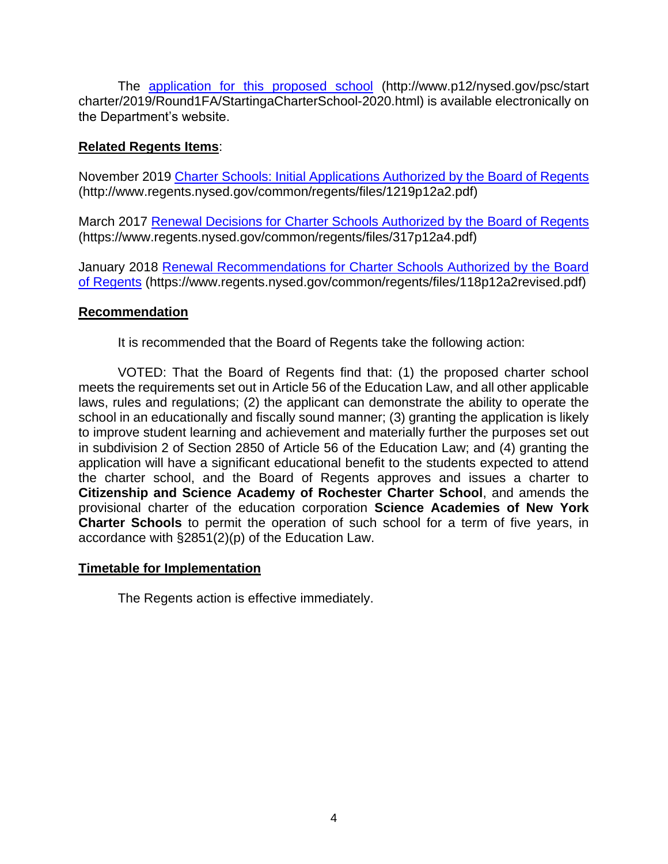The [application for this proposed school](http://www.p12.nysed.gov/psc/startcharter/2019/Round1FA/StartingaCharterSchool-2020.html) (http://www.p12/nysed.gov/psc/start charter/2019/Round1FA/StartingaCharterSchool-2020.html) is available electronically on the Department's website.

#### **Related Regents Items**:

November 2019 [Charter Schools: Initial Applications Authorized by the Board of Regents](http://www.regents.nysed.gov/common/regents/files/1219p12a2.pdf)  (http://www.regents.nysed.gov/common/regents/files/1219p12a2.pdf)

March 2017 [Renewal Decisions for Charter Schools Authorized by the Board of Regents](https://www.regents.nysed.gov/common/regents/files/317p12a4.pdf)  (https://www.regents.nysed.gov/common/regents/files/317p12a4.pdf)

January 2018 [Renewal Recommendations for Charter Schools Authorized by the Board](https://www.regents.nysed.gov/common/regents/files/118p12a2revised.pdf)  [of Regents](https://www.regents.nysed.gov/common/regents/files/118p12a2revised.pdf) (https://www.regents.nysed.gov/common/regents/files/118p12a2revised.pdf)

#### **Recommendation**

It is recommended that the Board of Regents take the following action:

 meets the requirements set out in Article 56 of the Education Law, and all other applicable to improve student learning and achievement and materially further the purposes set out in subdivision 2 of Section 2850 of Article 56 of the Education Law; and (4) granting the application will have a significant educational benefit to the students expected to attend provisional charter of the education corporation **Science Academies of New York Charter Schools** to permit the operation of such school for a term of five years, in VOTED: That the Board of Regents find that: (1) the proposed charter school laws, rules and regulations; (2) the applicant can demonstrate the ability to operate the school in an educationally and fiscally sound manner; (3) granting the application is likely the charter school, and the Board of Regents approves and issues a charter to **Citizenship and Science Academy of Rochester Charter School**, and amends the accordance with §2851(2)(p) of the Education Law.

#### **Timetable for Implementation**

The Regents action is effective immediately.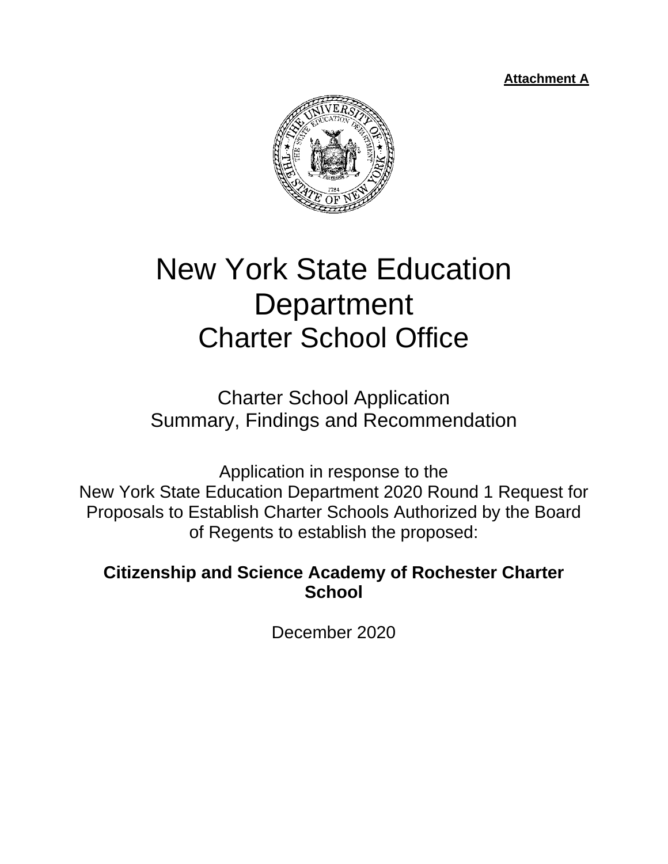**Attachment A** 



# New York State Education **Department** Charter School Office

Charter School Application Summary, Findings and Recommendation

Application in response to the New York State Education Department 2020 Round 1 Request for Proposals to Establish Charter Schools Authorized by the Board of Regents to establish the proposed:

**Citizenship and Science Academy of Rochester Charter School** 

December 2020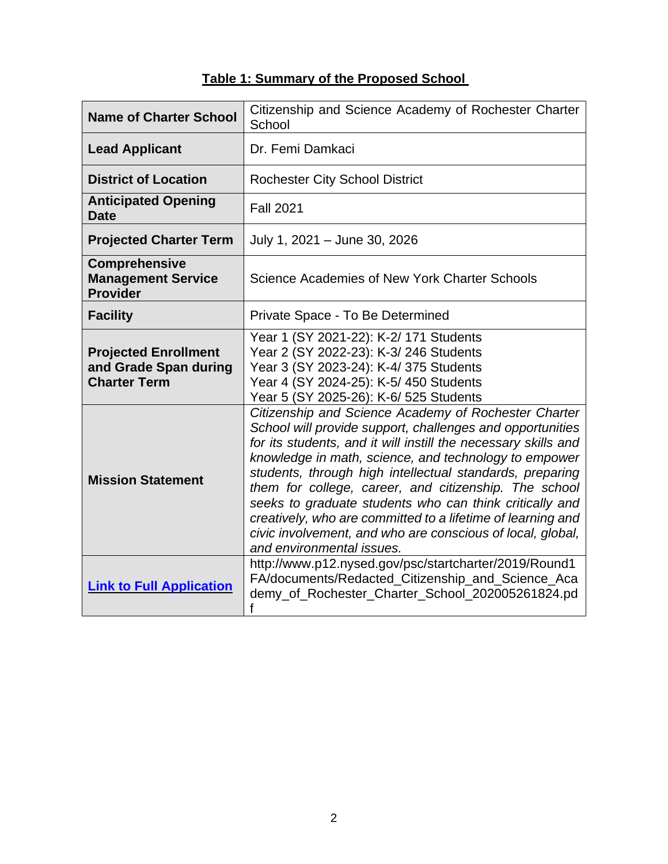| <b>Name of Charter School</b>                                               | Citizenship and Science Academy of Rochester Charter<br>School                                                                                                                                                                                                                                                                                                                                                                                                                                                                                                                         |  |  |
|-----------------------------------------------------------------------------|----------------------------------------------------------------------------------------------------------------------------------------------------------------------------------------------------------------------------------------------------------------------------------------------------------------------------------------------------------------------------------------------------------------------------------------------------------------------------------------------------------------------------------------------------------------------------------------|--|--|
| <b>Lead Applicant</b>                                                       | Dr. Femi Damkaci                                                                                                                                                                                                                                                                                                                                                                                                                                                                                                                                                                       |  |  |
| <b>District of Location</b>                                                 | <b>Rochester City School District</b>                                                                                                                                                                                                                                                                                                                                                                                                                                                                                                                                                  |  |  |
| <b>Anticipated Opening</b><br><b>Date</b>                                   | <b>Fall 2021</b>                                                                                                                                                                                                                                                                                                                                                                                                                                                                                                                                                                       |  |  |
| <b>Projected Charter Term</b>                                               | July 1, 2021 - June 30, 2026                                                                                                                                                                                                                                                                                                                                                                                                                                                                                                                                                           |  |  |
| <b>Comprehensive</b><br><b>Management Service</b><br><b>Provider</b>        | Science Academies of New York Charter Schools                                                                                                                                                                                                                                                                                                                                                                                                                                                                                                                                          |  |  |
| <b>Facility</b>                                                             | Private Space - To Be Determined                                                                                                                                                                                                                                                                                                                                                                                                                                                                                                                                                       |  |  |
| <b>Projected Enrollment</b><br>and Grade Span during<br><b>Charter Term</b> | Year 1 (SY 2021-22): K-2/ 171 Students<br>Year 2 (SY 2022-23): K-3/ 246 Students<br>Year 3 (SY 2023-24): K-4/ 375 Students<br>Year 4 (SY 2024-25): K-5/450 Students<br>Year 5 (SY 2025-26): K-6/ 525 Students                                                                                                                                                                                                                                                                                                                                                                          |  |  |
| <b>Mission Statement</b>                                                    | Citizenship and Science Academy of Rochester Charter<br>School will provide support, challenges and opportunities<br>for its students, and it will instill the necessary skills and<br>knowledge in math, science, and technology to empower<br>students, through high intellectual standards, preparing<br>them for college, career, and citizenship. The school<br>seeks to graduate students who can think critically and<br>creatively, who are committed to a lifetime of learning and<br>civic involvement, and who are conscious of local, global,<br>and environmental issues. |  |  |
| <b>Link to Full Application</b>                                             | http://www.p12.nysed.gov/psc/startcharter/2019/Round1<br>FA/documents/Redacted_Citizenship_and_Science_Aca<br>demy_of_Rochester_Charter_School_202005261824.pd<br>f                                                                                                                                                                                                                                                                                                                                                                                                                    |  |  |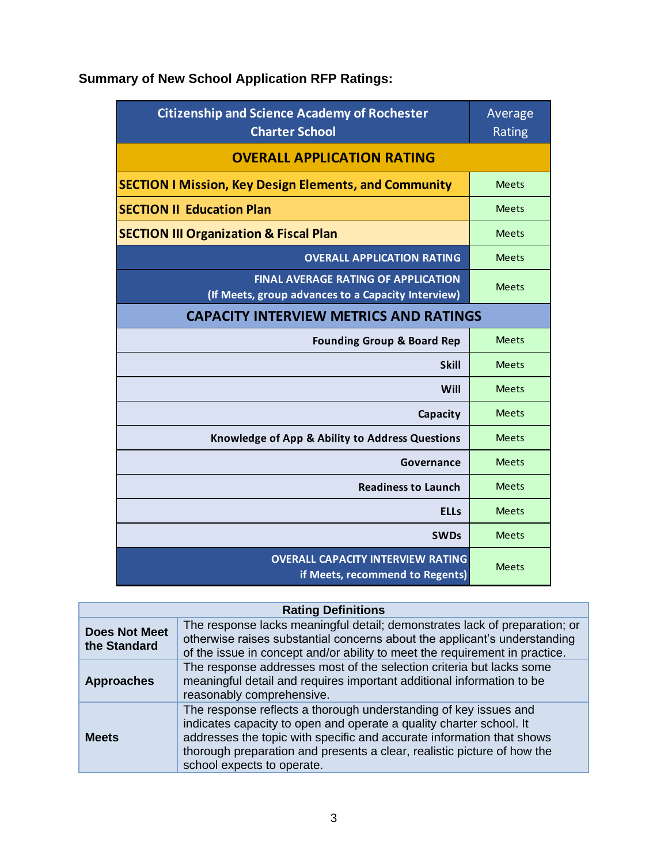# **Summary of New School Application RFP Ratings:**

| <b>Citizenship and Science Academy of Rochester</b><br><b>Charter School</b>                     | Average<br>Rating |
|--------------------------------------------------------------------------------------------------|-------------------|
| <b>OVERALL APPLICATION RATING</b>                                                                |                   |
| <b>SECTION I Mission, Key Design Elements, and Community</b>                                     | <b>Meets</b>      |
| <b>SECTION II Education Plan</b>                                                                 | <b>Meets</b>      |
| <b>SECTION III Organization &amp; Fiscal Plan</b>                                                | <b>Meets</b>      |
| <b>OVERALL APPLICATION RATING</b>                                                                | <b>Meets</b>      |
| <b>FINAL AVERAGE RATING OF APPLICATION</b><br>(If Meets, group advances to a Capacity Interview) | <b>Meets</b>      |
| <b>CAPACITY INTERVIEW METRICS AND RATINGS</b>                                                    |                   |
| <b>Founding Group &amp; Board Rep</b>                                                            | <b>Meets</b>      |
| <b>Skill</b>                                                                                     | <b>Meets</b>      |
| Will                                                                                             | <b>Meets</b>      |
| Capacity                                                                                         | <b>Meets</b>      |
| Knowledge of App & Ability to Address Questions                                                  | <b>Meets</b>      |
| Governance                                                                                       | <b>Meets</b>      |
| <b>Readiness to Launch</b>                                                                       | <b>Meets</b>      |
| <b>ELLs</b>                                                                                      | <b>Meets</b>      |
| <b>SWDs</b>                                                                                      | <b>Meets</b>      |
| <b>OVERALL CAPACITY INTERVIEW RATING</b><br>if Meets, recommend to Regents)                      | <b>Meets</b>      |

# **Rating Definitions**

| <b>Does Not Meet</b><br>the Standard | The response lacks meaningful detail; demonstrates lack of preparation; or<br>otherwise raises substantial concerns about the applicant's understanding<br>of the issue in concept and/or ability to meet the requirement in practice.                                                                                    |  |  |
|--------------------------------------|---------------------------------------------------------------------------------------------------------------------------------------------------------------------------------------------------------------------------------------------------------------------------------------------------------------------------|--|--|
| <b>Approaches</b>                    | The response addresses most of the selection criteria but lacks some<br>meaningful detail and requires important additional information to be<br>reasonably comprehensive.                                                                                                                                                |  |  |
| <b>Meets</b>                         | The response reflects a thorough understanding of key issues and<br>indicates capacity to open and operate a quality charter school. It<br>addresses the topic with specific and accurate information that shows<br>thorough preparation and presents a clear, realistic picture of how the<br>school expects to operate. |  |  |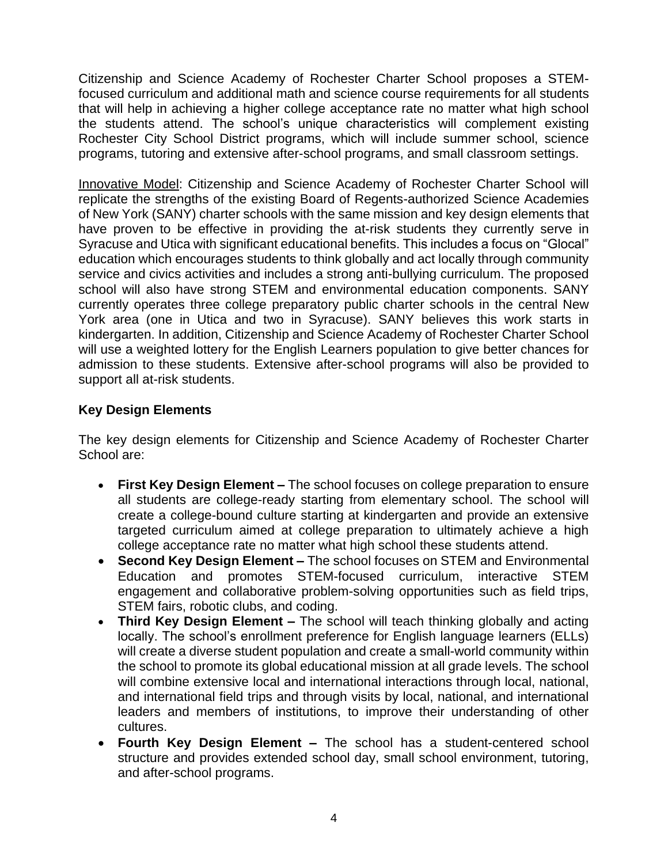Citizenship and Science Academy of Rochester Charter School proposes a STEM- focused curriculum and additional math and science course requirements for all students that will help in achieving a higher college acceptance rate no matter what high school the students attend. The school's unique characteristics will complement existing Rochester City School District programs, which will include summer school, science programs, tutoring and extensive after-school programs, and small classroom settings.

Innovative Model: Citizenship and Science Academy of Rochester Charter School will replicate the strengths of the existing Board of Regents-authorized Science Academies of New York (SANY) charter schools with the same mission and key design elements that Syracuse and Utica with significant educational benefits. This includes a focus on "Glocal" service and civics activities and includes a strong anti-bullying curriculum. The proposed York area (one in Utica and two in Syracuse). SANY believes this work starts in kindergarten. In addition, Citizenship and Science Academy of Rochester Charter School will use a weighted lottery for the English Learners population to give better chances for have proven to be effective in providing the at-risk students they currently serve in education which encourages students to think globally and act locally through community school will also have strong STEM and environmental education components. SANY currently operates three college preparatory public charter schools in the central New admission to these students. Extensive after-school programs will also be provided to support all at-risk students.

# **Key Design Elements**

The key design elements for Citizenship and Science Academy of Rochester Charter School are:

- • **First Key Design Element –** The school focuses on college preparation to ensure all students are college-ready starting from elementary school. The school will create a college-bound culture starting at kindergarten and provide an extensive targeted curriculum aimed at college preparation to ultimately achieve a high college acceptance rate no matter what high school these students attend.
- Education and promotes STEM-focused curriculum, interactive STEM • **Second Key Design Element –** The school focuses on STEM and Environmental engagement and collaborative problem-solving opportunities such as field trips, STEM fairs, robotic clubs, and coding.
- locally. The school's enrollment preference for English language learners (ELLs) will create a diverse student population and create a small-world community within the school to promote its global educational mission at all grade levels. The school and international field trips and through visits by local, national, and international • **Third Key Design Element –** The school will teach thinking globally and acting will combine extensive local and international interactions through local, national, leaders and members of institutions, to improve their understanding of other cultures.
- • **Fourth Key Design Element –** The school has a student-centered school structure and provides extended school day, small school environment, tutoring, and after-school programs.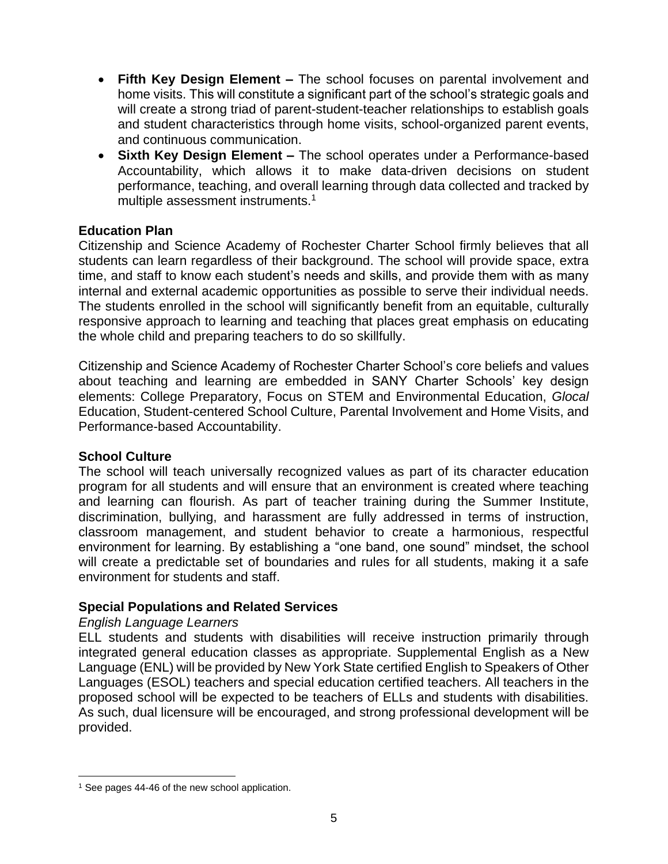- will create a strong triad of parent-student-teacher relationships to establish goals • **Fifth Key Design Element –** The school focuses on parental involvement and home visits. This will constitute a significant part of the school's strategic goals and and student characteristics through home visits, school-organized parent events, and continuous communication.
- • **Sixth Key Design Element –** The school operates under a Performance-based performance, teaching, and overall learning through data collected and tracked by Accountability, which allows it to make data-driven decisions on student multiple assessment instruments.<sup>1</sup>

#### **Education Plan**

 Citizenship and Science Academy of Rochester Charter School firmly believes that all students can learn regardless of their background. The school will provide space, extra time, and staff to know each student's needs and skills, and provide them with as many The students enrolled in the school will significantly benefit from an equitable, culturally responsive approach to learning and teaching that places great emphasis on educating internal and external academic opportunities as possible to serve their individual needs. the whole child and preparing teachers to do so skillfully.

 Citizenship and Science Academy of Rochester Charter School's core beliefs and values about teaching and learning are embedded in SANY Charter Schools' key design elements: College Preparatory, Focus on STEM and Environmental Education, *Glocal*  Education, Student-centered School Culture, Parental Involvement and Home Visits, and Performance-based Accountability.

#### **School Culture**

 program for all students and will ensure that an environment is created where teaching discrimination, bullying, and harassment are fully addressed in terms of instruction, environment for learning. By establishing a "one band, one sound" mindset, the school will create a predictable set of boundaries and rules for all students, making it a safe The school will teach universally recognized values as part of its character education and learning can flourish. As part of teacher training during the Summer Institute, classroom management, and student behavior to create a harmonious, respectful environment for students and staff.

## **Special Populations and Related Services**

#### *English Language Learners*

 integrated general education classes as appropriate. Supplemental English as a New proposed school will be expected to be teachers of ELLs and students with disabilities. As such, dual licensure will be encouraged, and strong professional development will be ELL students and students with disabilities will receive instruction primarily through Language (ENL) will be provided by New York State certified English to Speakers of Other Languages (ESOL) teachers and special education certified teachers. All teachers in the provided.

<sup>&</sup>lt;sup>1</sup> See pages 44-46 of the new school application.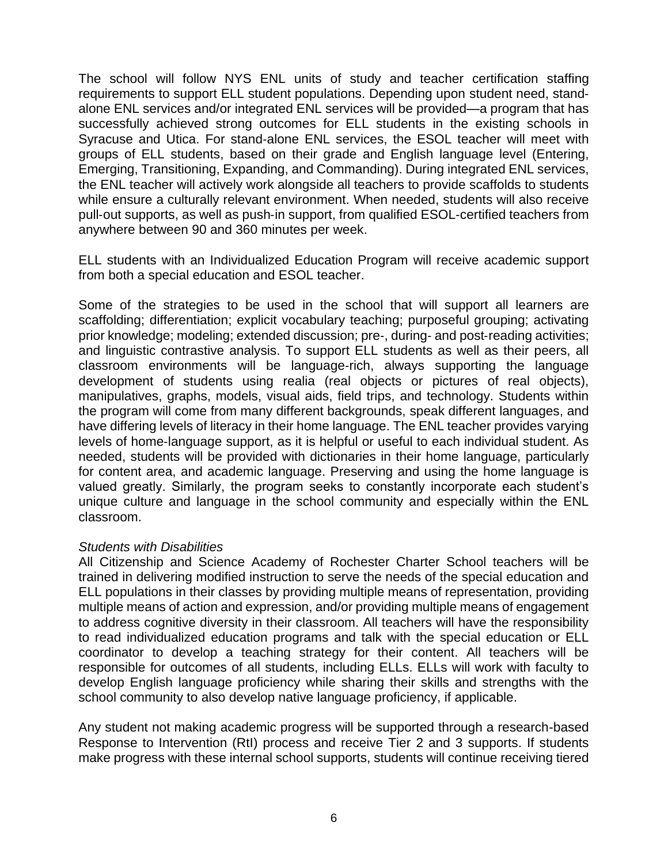The school will follow NYS ENL units of study and teacher certification staffing requirements to support ELL student populations. Depending upon student need, stand‐ Syracuse and Utica. For stand‐alone ENL services, the ESOL teacher will meet with while ensure a culturally relevant environment. When needed, students will also receive alone ENL services and/or integrated ENL services will be provided—a program that has successfully achieved strong outcomes for ELL students in the existing schools in groups of ELL students, based on their grade and English language level (Entering, Emerging, Transitioning, Expanding, and Commanding). During integrated ENL services, the ENL teacher will actively work alongside all teachers to provide scaffolds to students pull‐out supports, as well as push‐in support, from qualified ESOL‐certified teachers from anywhere between 90 and 360 minutes per week.

 ELL students with an Individualized Education Program will receive academic support from both a special education and ESOL teacher.

 Some of the strategies to be used in the school that will support all learners are and linguistic contrastive analysis. To support ELL students as well as their peers, all have differing levels of literacy in their home language. The ENL teacher provides varying levels of home‐language support, as it is helpful or useful to each individual student. As for content area, and academic language. Preserving and using the home language is unique culture and language in the school community and especially within the ENL scaffolding; differentiation; explicit vocabulary teaching; purposeful grouping; activating prior knowledge; modeling; extended discussion; pre‐, during‐ and post‐reading activities; classroom environments will be language‐rich, always supporting the language development of students using realia (real objects or pictures of real objects), manipulatives, graphs, models, visual aids, field trips, and technology. Students within the program will come from many different backgrounds, speak different languages, and needed, students will be provided with dictionaries in their home language, particularly valued greatly. Similarly, the program seeks to constantly incorporate each student's classroom.

#### *Students with Disabilities*

 All Citizenship and Science Academy of Rochester Charter School teachers will be trained in delivering modified instruction to serve the needs of the special education and to read individualized education programs and talk with the special education or ELL coordinator to develop a teaching strategy for their content. All teachers will be ELL populations in their classes by providing multiple means of representation, providing multiple means of action and expression, and/or providing multiple means of engagement to address cognitive diversity in their classroom. All teachers will have the responsibility responsible for outcomes of all students, including ELLs. ELLs will work with faculty to develop English language proficiency while sharing their skills and strengths with the school community to also develop native language proficiency, if applicable.

 Response to Intervention (RtI) process and receive Tier 2 and 3 supports. If students make progress with these internal school supports, students will continue receiving tiered Any student not making academic progress will be supported through a research-based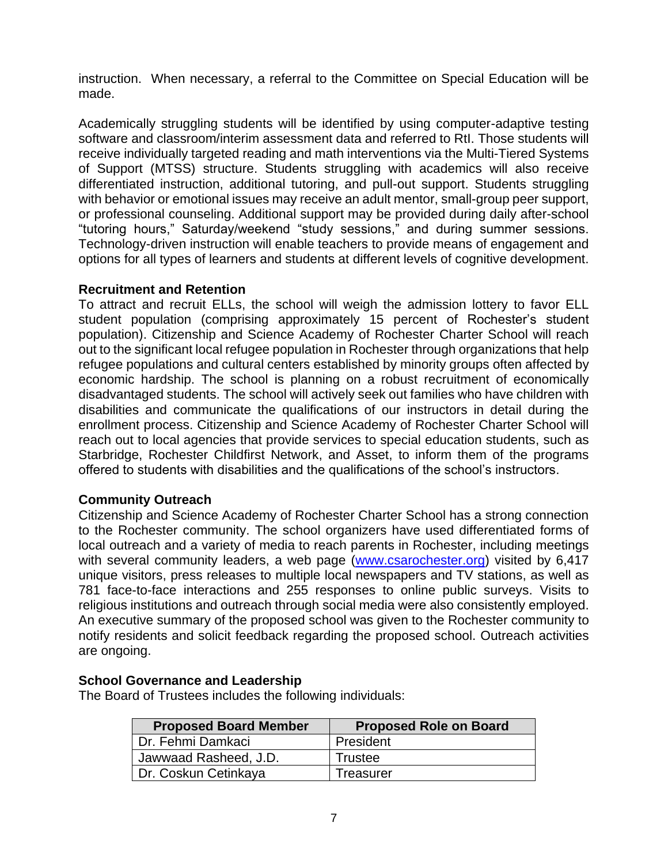instruction. When necessary, a referral to the Committee on Special Education will be made.

 with behavior or emotional issues may receive an adult mentor, small-group peer support, or professional counseling. Additional support may be provided during daily after-school Academically struggling students will be identified by using computer-adaptive testing software and classroom/interim assessment data and referred to RtI. Those students will receive individually targeted reading and math interventions via the Multi-Tiered Systems of Support (MTSS) structure. Students struggling with academics will also receive differentiated instruction, additional tutoring, and pull-out support. Students struggling "tutoring hours," Saturday/weekend "study sessions," and during summer sessions. Technology-driven instruction will enable teachers to provide means of engagement and options for all types of learners and students at different levels of cognitive development.

#### **Recruitment and Retention**

 To attract and recruit ELLs, the school will weigh the admission lottery to favor ELL population). Citizenship and Science Academy of Rochester Charter School will reach out to the significant local refugee population in Rochester through organizations that help disadvantaged students. The school will actively seek out families who have children with enrollment process. Citizenship and Science Academy of Rochester Charter School will Starbridge, Rochester Childfirst Network, and Asset, to inform them of the programs student population (comprising approximately 15 percent of Rochester's student refugee populations and cultural centers established by minority groups often affected by economic hardship. The school is planning on a robust recruitment of economically disabilities and communicate the qualifications of our instructors in detail during the reach out to local agencies that provide services to special education students, such as offered to students with disabilities and the qualifications of the school's instructors.

#### **Community Outreach**

 Citizenship and Science Academy of Rochester Charter School has a strong connection local outreach and a variety of media to reach parents in Rochester, including meetings to the Rochester community. The school organizers have used differentiated forms of with several community leaders, a web page [\(www.csarochester.org\)](http://www.csarochester.org/) visited by 6,417 unique visitors, press releases to multiple local newspapers and TV stations, as well as 781 face-to-face interactions and 255 responses to online public surveys. Visits to religious institutions and outreach through social media were also consistently employed. An executive summary of the proposed school was given to the Rochester community to notify residents and solicit feedback regarding the proposed school. Outreach activities are ongoing.

#### **School Governance and Leadership**

The Board of Trustees includes the following individuals:

| <b>Proposed Board Member</b> | <b>Proposed Role on Board</b> |
|------------------------------|-------------------------------|
| Dr. Fehmi Damkaci            | President                     |
| Jawwaad Rasheed, J.D.        | Trustee                       |
| Dr. Coskun Cetinkaya         | Treasurer                     |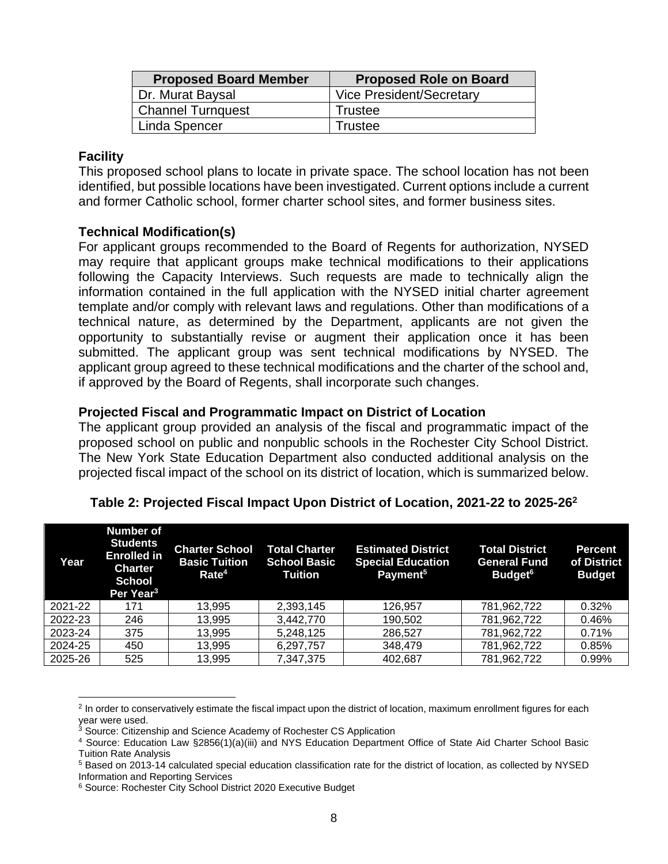| <b>Proposed Board Member</b> | <b>Proposed Role on Board</b>   |  |
|------------------------------|---------------------------------|--|
| Dr. Murat Baysal             | <b>Vice President/Secretary</b> |  |
| <b>Channel Turnquest</b>     | Trustee                         |  |
| Linda Spencer                | Trustee                         |  |

#### **Facility**

 This proposed school plans to locate in private space. The school location has not been identified, but possible locations have been investigated. Current options include a current and former Catholic school, former charter school sites, and former business sites.

#### **Technical Modification(s)**

 following the Capacity Interviews. Such requests are made to technically align the technical nature, as determined by the Department, applicants are not given the opportunity to substantially revise or augment their application once it has been applicant group agreed to these technical modifications and the charter of the school and, For applicant groups recommended to the Board of Regents for authorization, NYSED may require that applicant groups make technical modifications to their applications information contained in the full application with the NYSED initial charter agreement template and/or comply with relevant laws and regulations. Other than modifications of a submitted. The applicant group was sent technical modifications by NYSED. The if approved by the Board of Regents, shall incorporate such changes.

#### **Projected Fiscal and Programmatic Impact on District of Location**

 The applicant group provided an analysis of the fiscal and programmatic impact of the proposed school on public and nonpublic schools in the Rochester City School District. projected fiscal impact of the school on its district of location, which is summarized below. The New York State Education Department also conducted additional analysis on the

| Year    | <b>Number of</b><br><b>Students</b><br><b>Enrolled in</b><br><b>Charter</b><br><b>School</b><br>Per Year <sup>3</sup> | <b>Charter School</b><br><b>Basic Tuition</b><br>Rate <sup>4</sup> | <b>Total Charter</b><br><b>School Basic</b><br>Tuition | <b>Estimated District</b><br><b>Special Education</b><br>Payment <sup>5</sup> | <b>Total District</b><br><b>General Fund</b><br>Budget <sup>6</sup> | <b>Percent</b><br>of District<br><b>Budget</b> |
|---------|-----------------------------------------------------------------------------------------------------------------------|--------------------------------------------------------------------|--------------------------------------------------------|-------------------------------------------------------------------------------|---------------------------------------------------------------------|------------------------------------------------|
| 2021-22 | 171                                                                                                                   | 13,995                                                             | 2,393,145                                              | 126,957                                                                       | 781,962,722                                                         | 0.32%                                          |
| 2022-23 | 246                                                                                                                   | 13.995                                                             | 3.442.770                                              | 190.502                                                                       | 781,962,722                                                         | 0.46%                                          |
| 2023-24 | 375                                                                                                                   | 13,995                                                             | 5,248,125                                              | 286,527                                                                       | 781,962,722                                                         | 0.71%                                          |
| 2024-25 | 450                                                                                                                   | 13,995                                                             | 6,297,757                                              | 348,479                                                                       | 781,962,722                                                         | 0.85%                                          |
| 2025-26 | 525                                                                                                                   | 13.995                                                             | 7.347.375                                              | 402.687                                                                       | 781,962,722                                                         | 0.99%                                          |

#### **Table 2: Projected Fiscal Impact Upon District of Location, 2021-22 to 2025-262**

 $2$  In order to conservatively estimate the fiscal impact upon the district of location, maximum enrollment figures for each year were used.

<sup>&</sup>lt;sup>3</sup> Source: Citizenship and Science Academy of Rochester CS Application

<sup>4</sup> Source: Education Law §2856(1)(a)(iii) and NYS Education Department Office of State Aid Charter School Basic Tuition Rate Analysis

<sup>&</sup>lt;sup>5</sup> Based on 2013-14 calculated special education classification rate for the district of location, as collected by NYSED Information and Reporting Services<br><sup>6</sup> Source: Rochester City School District 2020 Executive Budget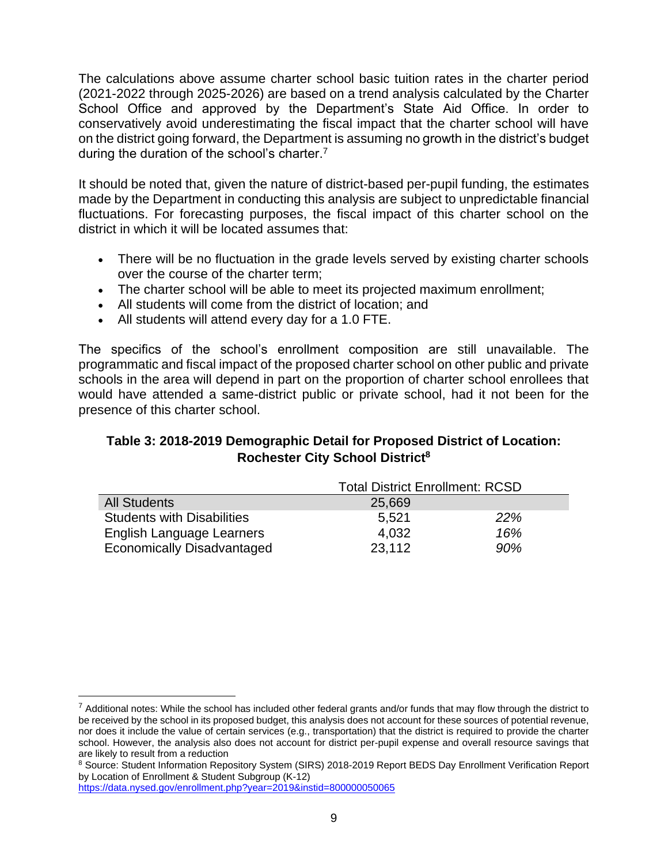The calculations above assume charter school basic tuition rates in the charter period conservatively avoid underestimating the fiscal impact that the charter school will have (2021-2022 through 2025-2026) are based on a trend analysis calculated by the Charter School Office and approved by the Department's State Aid Office. In order to on the district going forward, the Department is assuming no growth in the district's budget during the duration of the school's charter.<sup>7</sup>

 fluctuations. For forecasting purposes, the fiscal impact of this charter school on the It should be noted that, given the nature of district-based per-pupil funding, the estimates made by the Department in conducting this analysis are subject to unpredictable financial district in which it will be located assumes that:

- • There will be no fluctuation in the grade levels served by existing charter schools over the course of the charter term;
- The charter school will be able to meet its projected maximum enrollment;
- All students will come from the district of location; and
- All students will attend every day for a 1.0 FTE.

 programmatic and fiscal impact of the proposed charter school on other public and private schools in the area will depend in part on the proportion of charter school enrollees that would have attended a same-district public or private school, had it not been for the The specifics of the school's enrollment composition are still unavailable. The presence of this charter school.

# **Table 3: 2018-2019 Demographic Detail for Proposed District of Location: Rochester City School District8**

|                                   | <b>Total District Enrollment: RCSD</b> |            |  |
|-----------------------------------|----------------------------------------|------------|--|
| <b>All Students</b>               | 25,669                                 |            |  |
| <b>Students with Disabilities</b> | 5.521                                  | <b>22%</b> |  |
| <b>English Language Learners</b>  | 4,032                                  | 16%        |  |
| <b>Economically Disadvantaged</b> | 23,112                                 | 90%        |  |

 $^7$  Additional notes: While the school has included other federal grants and/or funds that may flow through the district to be received by the school in its proposed budget, this analysis does not account for these sources of potential revenue, nor does it include the value of certain services (e.g., transportation) that the district is required to provide the charter school. However, the analysis also does not account for district per-pupil expense and overall resource savings that are likely to result from a reduction

<sup>8</sup> Source: Student Information Repository System (SIRS) 2018-2019 Report BEDS Day Enrollment Verification Report by Location of Enrollment & Student Subgroup (K-12)

<https://data.nysed.gov/enrollment.php?year=2019&instid=800000050065>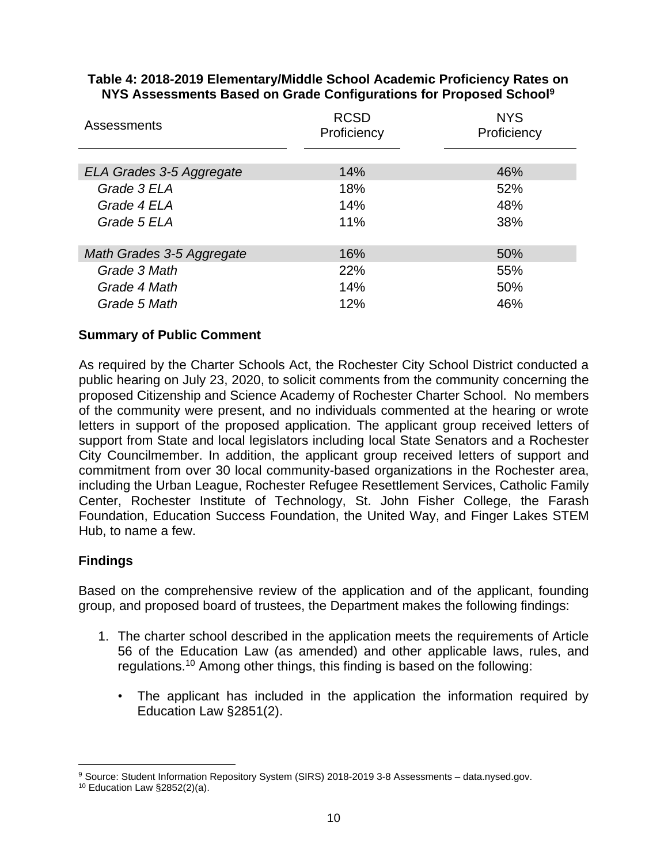| <b>RCSD</b><br>Proficiency | <b>NYS</b><br>Proficiency |
|----------------------------|---------------------------|
|                            |                           |
| 14%                        | 46%                       |
| 18%                        | 52%                       |
| 14%                        | 48%                       |
| 11%                        | 38%                       |
|                            |                           |
| 16%                        | 50%                       |
| 22%                        | 55%                       |
| 14%                        | 50%                       |
| 12%                        | 46%                       |
|                            |                           |

#### **Table 4: 2018-2019 Elementary/Middle School Academic Proficiency Rates on NYS Assessments Based on Grade Configurations for Proposed School9**

## **Summary of Public Comment**

 City Councilmember. In addition, the applicant group received letters of support and As required by the Charter Schools Act, the Rochester City School District conducted a public hearing on July 23, 2020, to solicit comments from the community concerning the proposed Citizenship and Science Academy of Rochester Charter School. No members of the community were present, and no individuals commented at the hearing or wrote letters in support of the proposed application. The applicant group received letters of support from State and local legislators including local State Senators and a Rochester commitment from over 30 local community-based organizations in the Rochester area, including the Urban League, Rochester Refugee Resettlement Services, Catholic Family Center, Rochester Institute of Technology, St. John Fisher College, the Farash Foundation, Education Success Foundation, the United Way, and Finger Lakes STEM Hub, to name a few.

#### **Findings**

Based on the comprehensive review of the application and of the applicant, founding group, and proposed board of trustees, the Department makes the following findings:

- 1. The charter school described in the application meets the requirements of Article 56 of the Education Law (as amended) and other applicable laws, rules, and regulations.10 Among other things, this finding is based on the following:
	- • The applicant has included in the application the information required by Education Law §2851(2).

<sup>&</sup>lt;sup>9</sup> Source: Student Information Repository System (SIRS) 2018-2019 3-8 Assessments – data.nysed.gov.<br><sup>10</sup> Education Law §2852(2)(a).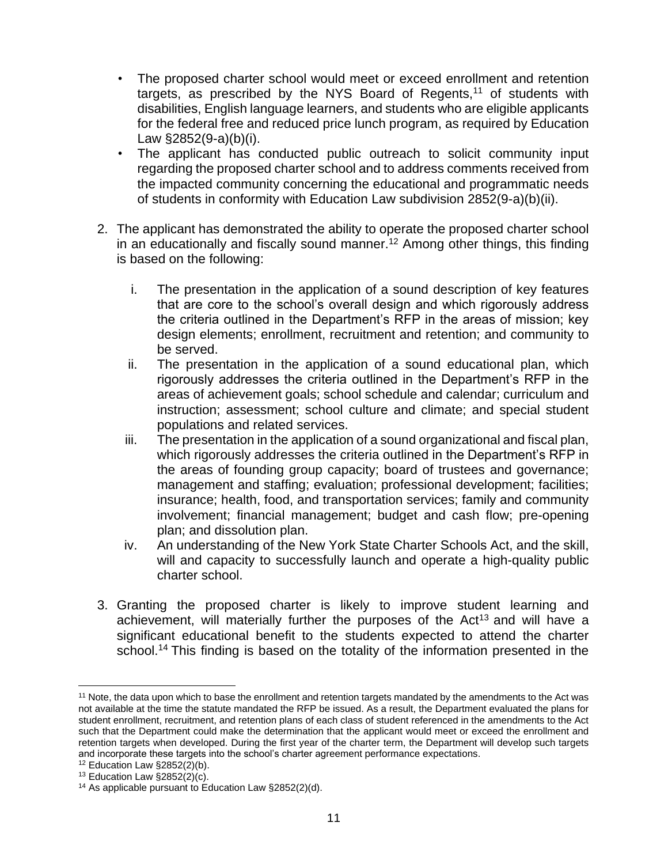- disabilities, English language learners, and students who are eligible applicants The proposed charter school would meet or exceed enrollment and retention targets, as prescribed by the NYS Board of Regents, $11$  of students with for the federal free and reduced price lunch program, as required by Education Law §2852(9-a)(b)(i).
- • The applicant has conducted public outreach to solicit community input regarding the proposed charter school and to address comments received from the impacted community concerning the educational and programmatic needs of students in conformity with Education Law subdivision 2852(9-a)(b)(ii).
- 2. The applicant has demonstrated the ability to operate the proposed charter school in an educationally and fiscally sound manner.<sup>12</sup> Among other things, this finding is based on the following:
	- i. The presentation in the application of a sound description of key features that are core to the school's overall design and which rigorously address the criteria outlined in the Department's RFP in the areas of mission; key design elements; enrollment, recruitment and retention; and community to be served.
	- ii. The presentation in the application of a sound educational plan, which rigorously addresses the criteria outlined in the Department's RFP in the areas of achievement goals; school schedule and calendar; curriculum and instruction; assessment; school culture and climate; and special student populations and related services.
	- iii. The presentation in the application of a sound organizational and fiscal plan, involvement; financial management; budget and cash flow; pre-opening which rigorously addresses the criteria outlined in the Department's RFP in the areas of founding group capacity; board of trustees and governance; management and staffing; evaluation; professional development; facilities; insurance; health, food, and transportation services; family and community plan; and dissolution plan.
	- iv. An understanding of the New York State Charter Schools Act, and the skill, will and capacity to successfully launch and operate a high-quality public charter school.
- achievement, will materially further the purposes of the Act<sup>13</sup> and will have a significant educational benefit to the students expected to attend the charter school.<sup>14</sup> This finding is based on the totality of the information presented in the 3. Granting the proposed charter is likely to improve student learning and

<sup>&</sup>lt;sup>11</sup> Note, the data upon which to base the enrollment and retention targets mandated by the amendments to the Act was not available at the time the statute mandated the RFP be issued. As a result, the Department evaluated the plans for such that the Department could make the determination that the applicant would meet or exceed the enrollment and retention targets when developed. During the first year of the charter term, the Department will develop such targets student enrollment, recruitment, and retention plans of each class of student referenced in the amendments to the Act and incorporate these targets into the school's charter agreement performance expectations.<br><sup>12</sup> Education Law §2852(2)(b).<br><sup>13</sup> Education Law §2852(2)(c).<br><sup>14</sup> As applicable pursuant to Education Law §2852(2)(d).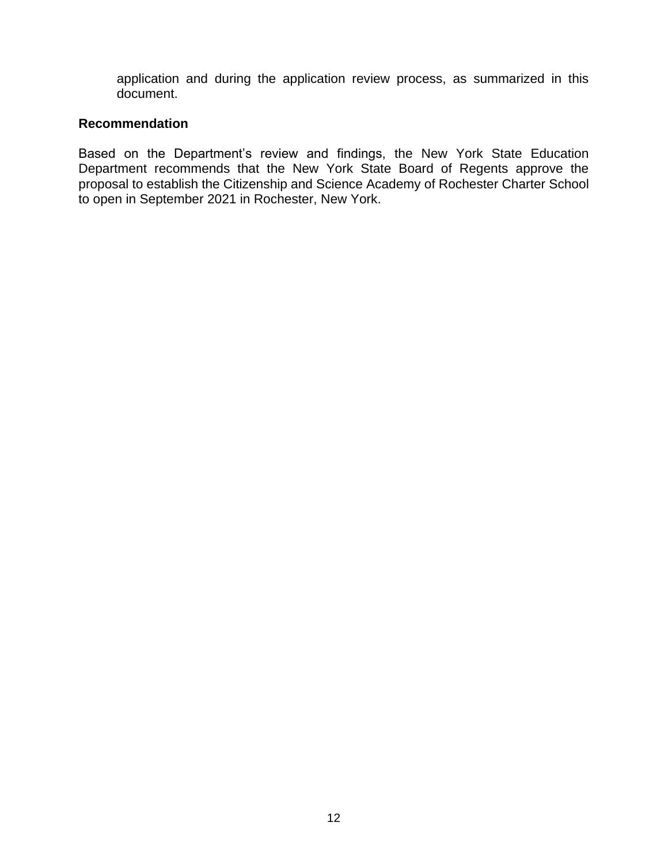application and during the application review process, as summarized in this document.

#### **Recommendation**

Based on the Department's review and findings, the New York State Education Department recommends that the New York State Board of Regents approve the proposal to establish the Citizenship and Science Academy of Rochester Charter School to open in September 2021 in Rochester, New York.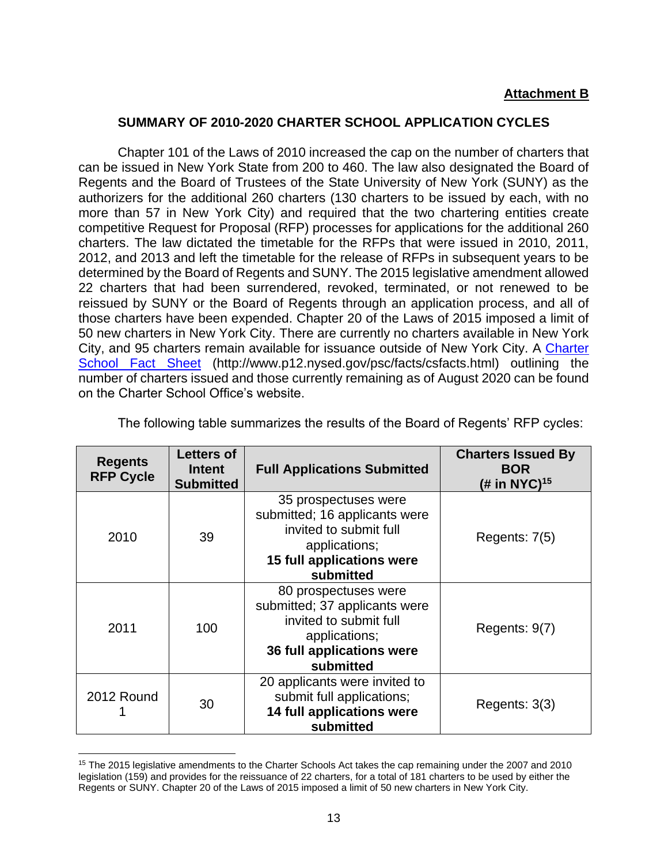#### **Attachment B**

#### **SUMMARY OF 2010-2020 CHARTER SCHOOL APPLICATION CYCLES**

 can be issued in New York State from 200 to 460. The law also designated the Board of competitive Request for Proposal (RFP) processes for applications for the additional 260 2012, and 2013 and left the timetable for the release of RFPs in subsequent years to be determined by the Board of Regents and SUNY. The 2015 legislative amendment allowed reissued by SUNY or the Board of Regents through an application process, and all of those charters have been expended. Chapter 20 of the Laws of 2015 imposed a limit of 50 new charters in New York City. There are currently no charters available in New York City, and 95 charters remain available for issuance outside of New York City. A Charter Chapter 101 of the Laws of 2010 increased the cap on the number of charters that Regents and the Board of Trustees of the State University of New York (SUNY) as the authorizers for the additional 260 charters (130 charters to be issued by each, with no more than 57 in New York City) and required that the two chartering entities create charters. The law dictated the timetable for the RFPs that were issued in 2010, 2011, 22 charters that had been surrendered, revoked, terminated, or not renewed to be [School Fact Sheet](http://www.p12.nysed.gov/psc/facts/csfacts.html) (http://www.p12.nysed.gov/psc/facts/csfacts.html) outlining the number of charters issued and those currently remaining as of August 2020 can be found on the Charter School Office's website.

| <b>Regents</b><br><b>RFP Cycle</b> | <b>Letters of</b><br><b>Intent</b><br><b>Submitted</b> | <b>Full Applications Submitted</b>                                                                                                         | <b>Charters Issued By</b><br><b>BOR</b><br>(# in NYC) $15$ |
|------------------------------------|--------------------------------------------------------|--------------------------------------------------------------------------------------------------------------------------------------------|------------------------------------------------------------|
| 2010                               | 39                                                     | 35 prospectuses were<br>submitted; 16 applicants were<br>invited to submit full<br>applications;<br>15 full applications were<br>submitted | Regents: 7(5)                                              |
| 2011                               | 100                                                    | 80 prospectuses were<br>submitted; 37 applicants were<br>invited to submit full<br>applications;<br>36 full applications were<br>submitted | Regents: 9(7)                                              |
| 2012 Round                         | 30                                                     | 20 applicants were invited to<br>submit full applications;<br>14 full applications were<br>submitted                                       | Regents: 3(3)                                              |

The following table summarizes the results of the Board of Regents' RFP cycles:

<sup>&</sup>lt;sup>15</sup> The 2015 legislative amendments to the Charter Schools Act takes the cap remaining under the 2007 and 2010 legislation (159) and provides for the reissuance of 22 charters, for a total of 181 charters to be used by either the Regents or SUNY. Chapter 20 of the Laws of 2015 imposed a limit of 50 new charters in New York City.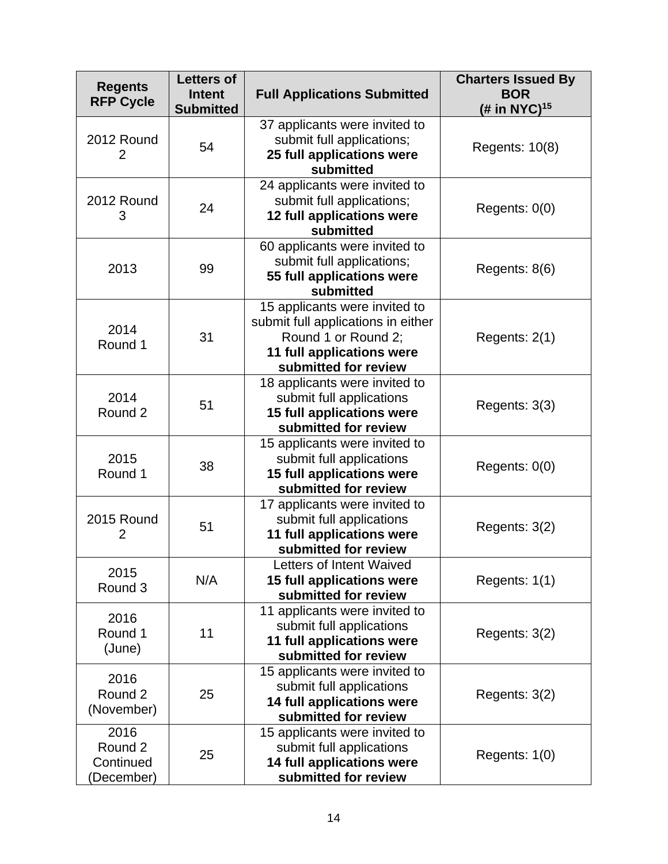| <b>Regents</b><br><b>RFP Cycle</b>         | <b>Letters of</b><br><b>Intent</b><br><b>Submitted</b> | <b>Full Applications Submitted</b>                                                                                                              | <b>Charters Issued By</b><br><b>BOR</b><br>(# in NYC) <sup>15</sup> |
|--------------------------------------------|--------------------------------------------------------|-------------------------------------------------------------------------------------------------------------------------------------------------|---------------------------------------------------------------------|
| 2012 Round<br>2                            | 54                                                     | 37 applicants were invited to<br>submit full applications;<br>25 full applications were<br>submitted                                            | Regents: 10(8)                                                      |
| 2012 Round<br>3                            | 24                                                     | 24 applicants were invited to<br>submit full applications;<br>12 full applications were<br>submitted                                            | Regents: $0(0)$                                                     |
| 2013                                       | 99                                                     | 60 applicants were invited to<br>submit full applications;<br>55 full applications were<br>submitted                                            | Regents: $8(6)$                                                     |
| 2014<br>Round 1                            | 31                                                     | 15 applicants were invited to<br>submit full applications in either<br>Round 1 or Round 2;<br>11 full applications were<br>submitted for review | Regents: 2(1)                                                       |
| 2014<br>Round 2                            | 51                                                     | 18 applicants were invited to<br>submit full applications<br>15 full applications were<br>submitted for review                                  | Regents: 3(3)                                                       |
| 2015<br>Round 1                            | 38                                                     | 15 applicants were invited to<br>submit full applications<br>15 full applications were<br>submitted for review                                  | Regents: $0(0)$                                                     |
| 2015 Round<br>2                            | 51                                                     | 17 applicants were invited to<br>submit full applications<br>11 full applications were<br>submitted for review                                  | Regents: 3(2)                                                       |
| 2015<br>Round 3                            | N/A                                                    | Letters of Intent Waived<br>15 full applications were<br>submitted for review                                                                   | Regents: 1(1)                                                       |
| 2016<br>Round 1<br>(June)                  | 11                                                     | 11 applicants were invited to<br>submit full applications<br>11 full applications were<br>submitted for review                                  | Regents: $3(2)$                                                     |
| 2016<br>Round 2<br>(November)              | 25                                                     | 15 applicants were invited to<br>submit full applications<br>14 full applications were<br>submitted for review                                  | Regents: 3(2)                                                       |
| 2016<br>Round 2<br>Continued<br>(December) | 25                                                     | 15 applicants were invited to<br>submit full applications<br>14 full applications were<br>submitted for review                                  | Regents: 1(0)                                                       |